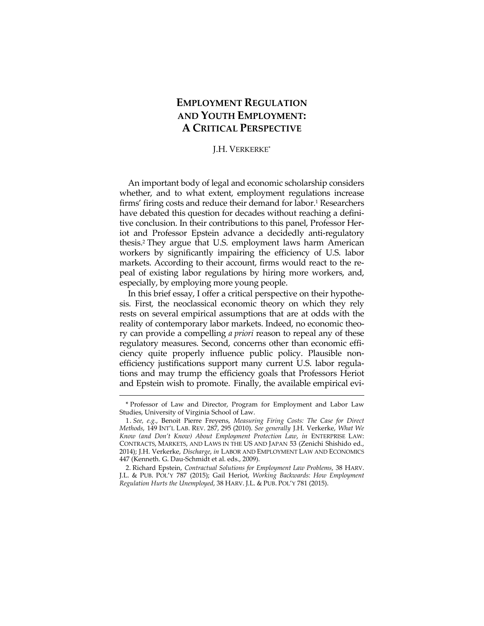# **EMPLOYMENT REGULATION AND YOUTH EMPLOYMENT: A CRITICAL PERSPECTIVE**

#### J.H. VERKERKE\*

An important body of legal and economic scholarship considers whether, and to what extent, employment regulations increase firms' firing costs and reduce their demand for labor.<sup>1</sup> Researchers have debated this question for decades without reaching a definitive conclusion. In their contributions to this panel, Professor Heriot and Professor Epstein advance a decidedly anti-regulatory thesis.2 They argue that U.S. employment laws harm American workers by significantly impairing the efficiency of U.S. labor markets. According to their account, firms would react to the repeal of existing labor regulations by hiring more workers, and, especially, by employing more young people.

In this brief essay, I offer a critical perspective on their hypothesis. First, the neoclassical economic theory on which they rely rests on several empirical assumptions that are at odds with the reality of contemporary labor markets. Indeed, no economic theory can provide a compelling *a priori* reason to repeal any of these regulatory measures. Second, concerns other than economic efficiency quite properly influence public policy. Plausible nonefficiency justifications support many current U.S. labor regulations and may trump the efficiency goals that Professors Heriot and Epstein wish to promote. Finally, the available empirical evi-

<sup>\*</sup> Professor of Law and Director, Program for Employment and Labor Law Studies, University of Virginia School of Law.

 <sup>1.</sup> *See, e.g.*, Benoit Pierre Freyens, *Measuring Firing Costs: The Case for Direct Methods*, 149 INT'L LAB. REV. 287, 295 (2010). *See generally* J.H. Verkerke, *What We Know (and Don't Know) About Employment Protection Law*, *in* ENTERPRISE LAW: CONTRACTS, MARKETS, AND LAWS IN THE US AND JAPAN 53 (Zenichi Shishido ed., 2014); J.H. Verkerke, *Discharge*, *in* LABOR AND EMPLOYMENT LAW AND ECONOMICS 447 (Kenneth. G. Dau-Schmidt et al. eds., 2009).

 <sup>2.</sup> Richard Epstein, *Contractual Solutions for Employment Law Problems*, 38 HARV. J.L. & PUB. POL'Y 787 (2015); Gail Heriot, *Working Backwards: How Employment Regulation Hurts the Unemployed*, 38 HARV. J.L. & PUB. POL'Y 781 (2015).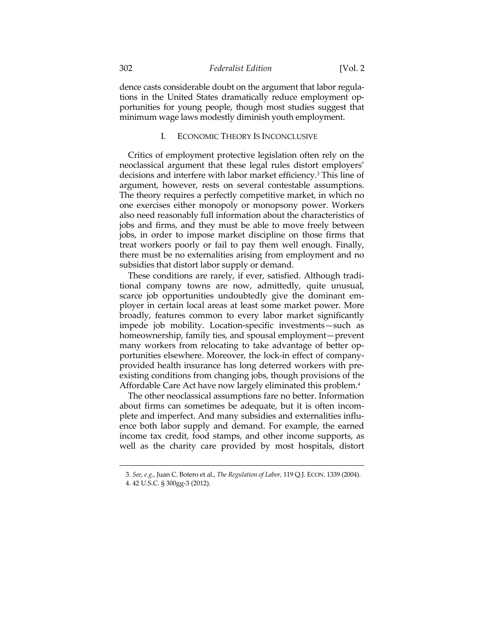dence casts considerable doubt on the argument that labor regulations in the United States dramatically reduce employment opportunities for young people, though most studies suggest that minimum wage laws modestly diminish youth employment.

## I. ECONOMIC THEORY IS INCONCLUSIVE

Critics of employment protective legislation often rely on the neoclassical argument that these legal rules distort employers' decisions and interfere with labor market efficiency.3 This line of argument, however, rests on several contestable assumptions. The theory requires a perfectly competitive market, in which no one exercises either monopoly or monopsony power. Workers also need reasonably full information about the characteristics of jobs and firms, and they must be able to move freely between jobs, in order to impose market discipline on those firms that treat workers poorly or fail to pay them well enough. Finally, there must be no externalities arising from employment and no subsidies that distort labor supply or demand.

These conditions are rarely, if ever, satisfied. Although traditional company towns are now, admittedly, quite unusual, scarce job opportunities undoubtedly give the dominant employer in certain local areas at least some market power. More broadly, features common to every labor market significantly impede job mobility. Location-specific investments—such as homeownership, family ties, and spousal employment—prevent many workers from relocating to take advantage of better opportunities elsewhere. Moreover, the lock-in effect of companyprovided health insurance has long deterred workers with preexisting conditions from changing jobs, though provisions of the Affordable Care Act have now largely eliminated this problem.4

The other neoclassical assumptions fare no better. Information about firms can sometimes be adequate, but it is often incomplete and imperfect. And many subsidies and externalities influence both labor supply and demand. For example, the earned income tax credit, food stamps, and other income supports, as well as the charity care provided by most hospitals, distort

<sup>3.</sup> *See, e.g.*, Juan C. Botero et al., *The Regulation of Labor,* 119 Q.J. ECON. 1339 (2004).

 <sup>4. 42</sup> U.S.C. § 300gg-3 (2012).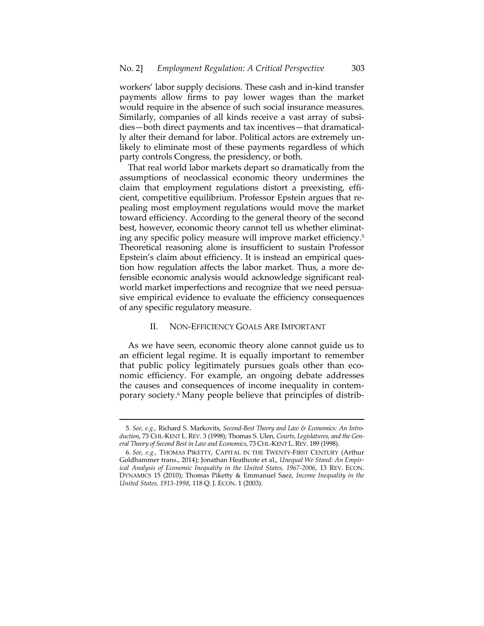workers' labor supply decisions. These cash and in-kind transfer payments allow firms to pay lower wages than the market would require in the absence of such social insurance measures. Similarly, companies of all kinds receive a vast array of subsidies—both direct payments and tax incentives—that dramatically alter their demand for labor. Political actors are extremely unlikely to eliminate most of these payments regardless of which party controls Congress, the presidency, or both.

That real world labor markets depart so dramatically from the assumptions of neoclassical economic theory undermines the claim that employment regulations distort a preexisting, efficient, competitive equilibrium. Professor Epstein argues that repealing most employment regulations would move the market toward efficiency. According to the general theory of the second best, however, economic theory cannot tell us whether eliminating any specific policy measure will improve market efficiency.5 Theoretical reasoning alone is insufficient to sustain Professor Epstein's claim about efficiency. It is instead an empirical question how regulation affects the labor market. Thus, a more defensible economic analysis would acknowledge significant realworld market imperfections and recognize that we need persuasive empirical evidence to evaluate the efficiency consequences of any specific regulatory measure.

#### II. NON-EFFICIENCY GOALS ARE IMPORTANT

As we have seen, economic theory alone cannot guide us to an efficient legal regime. It is equally important to remember that public policy legitimately pursues goals other than economic efficiency. For example, an ongoing debate addresses the causes and consequences of income inequality in contemporary society.6 Many people believe that principles of distrib-

<sup>5</sup>*. See, e.g.*, Richard S. Markovits, *Second-Best Theory and Law & Economics: An Introduction*, 73 CHI.-KENT L.REV. 3 (1998); Thomas S. Ulen, *Courts, Legislatures, and the General Theory of Second Best in Law and Economics*, 73 CHI.-KENT L.REV. 189 (1998).

 <sup>6.</sup> *See, e.g.*, THOMAS PIKETTY, CAPITAL IN THE TWENTY-FIRST CENTURY (Arthur Goldhammer trans., 2014); Jonathan Heathcote et al., *Unequal We Stand: An Empirical Analysis of Economic Inequality in the United States, 1967-2006*, 13 REV. ECON. DYNAMICS 15 (2010); Thomas Piketty & Emmanuel Saez, *Income Inequality in the United States, 1913-1998*, 118 Q. J. ECON. 1 (2003).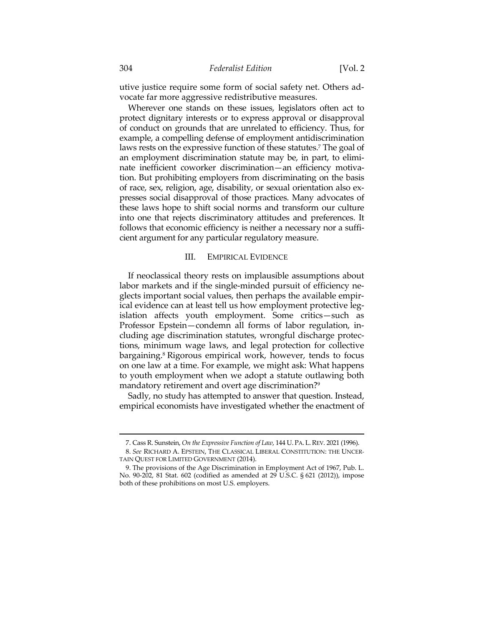utive justice require some form of social safety net. Others advocate far more aggressive redistributive measures.

Wherever one stands on these issues, legislators often act to protect dignitary interests or to express approval or disapproval of conduct on grounds that are unrelated to efficiency. Thus, for example, a compelling defense of employment antidiscrimination laws rests on the expressive function of these statutes.<sup>7</sup> The goal of an employment discrimination statute may be, in part, to eliminate inefficient coworker discrimination—an efficiency motivation. But prohibiting employers from discriminating on the basis of race, sex, religion, age, disability, or sexual orientation also expresses social disapproval of those practices. Many advocates of these laws hope to shift social norms and transform our culture into one that rejects discriminatory attitudes and preferences. It follows that economic efficiency is neither a necessary nor a sufficient argument for any particular regulatory measure.

## III. EMPIRICAL EVIDENCE

If neoclassical theory rests on implausible assumptions about labor markets and if the single-minded pursuit of efficiency neglects important social values, then perhaps the available empirical evidence can at least tell us how employment protective legislation affects youth employment. Some critics—such as Professor Epstein—condemn all forms of labor regulation, including age discrimination statutes, wrongful discharge protections, minimum wage laws, and legal protection for collective bargaining.<sup>8</sup> Rigorous empirical work, however, tends to focus on one law at a time. For example, we might ask: What happens to youth employment when we adopt a statute outlawing both mandatory retirement and overt age discrimination?<sup>9</sup>

Sadly, no study has attempted to answer that question. Instead, empirical economists have investigated whether the enactment of

<sup>7.</sup> Cass R. Sunstein, *On the Expressive Function of Law*, 144 U. PA. L.REV. 2021 (1996). 8. *See* RICHARD A. EPSTEIN, THE CLASSICAL LIBERAL CONSTITUTION: THE UNCER-TAIN QUEST FOR LIMITED GOVERNMENT (2014).

 <sup>9.</sup> The provisions of the Age Discrimination in Employment Act of 1967, Pub. L. No. 90-202, 81 Stat. 602 (codified as amended at 29 U.S.C. § 621 (2012)), impose both of these prohibitions on most U.S. employers.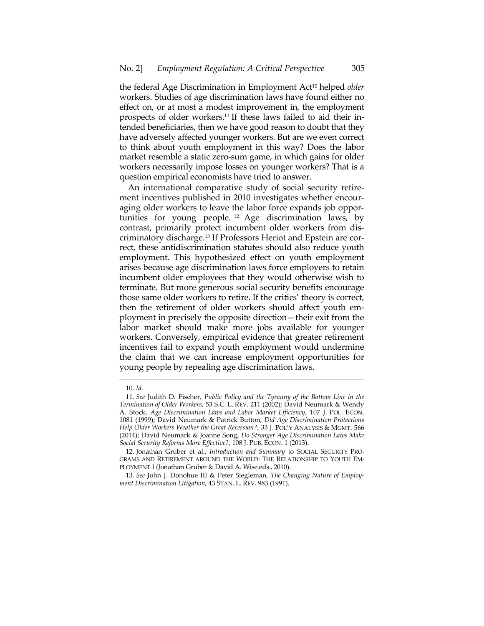the federal Age Discrimination in Employment Act10 helped *older* workers. Studies of age discrimination laws have found either no effect on, or at most a modest improvement in, the employment prospects of older workers.11 If these laws failed to aid their intended beneficiaries, then we have good reason to doubt that they have adversely affected younger workers. But are we even correct to think about youth employment in this way? Does the labor market resemble a static zero-sum game, in which gains for older workers necessarily impose losses on younger workers? That is a question empirical economists have tried to answer.

An international comparative study of social security retirement incentives published in 2010 investigates whether encouraging older workers to leave the labor force expands job opportunities for young people. 12 Age discrimination laws, by contrast, primarily protect incumbent older workers from discriminatory discharge.13 If Professors Heriot and Epstein are correct, these antidiscrimination statutes should also reduce youth employment. This hypothesized effect on youth employment arises because age discrimination laws force employers to retain incumbent older employees that they would otherwise wish to terminate. But more generous social security benefits encourage those same older workers to retire. If the critics' theory is correct, then the retirement of older workers should affect youth employment in precisely the opposite direction—their exit from the labor market should make more jobs available for younger workers. Conversely, empirical evidence that greater retirement incentives fail to expand youth employment would undermine the claim that we can increase employment opportunities for young people by repealing age discrimination laws.

<sup>10.</sup> *Id.*

 <sup>11.</sup> *See* Judith D. Fischer, *Public Policy and the Tyranny of the Bottom Line in the Termination of Older Workers*, 53 S.C. L. REV. 211 (2002); David Neumark & Wendy A. Stock, *Age Discrimination Laws and Labor Market Efficiency*, 107 J. POL. ECON. 1081 (1999); David Neumark & Patrick Button, *Did Age Discrimination Protections Help Older Workers Weather the Great Recession?*, 33 J. POL'Y ANALYSIS & MGMT. 566 (2014); David Neumark & Joanne Song, *Do Stronger Age Discrimination Laws Make*  Social Security Reforms More Effective?, 108 J. PUB. ECON. 1 (2013).

 <sup>12.</sup> Jonathan Gruber et al., *Introduction and Summary* to SOCIAL SECURITY PRO-GRAMS AND RETIREMENT AROUND THE WORLD: THE RELATIONSHIP TO YOUTH EM-PLOYMENT 1 (Jonathan Gruber & David A. Wise eds., 2010).

 <sup>13.</sup> *See* John J. Donohue III & Peter Siegleman, *The Changing Nature of Employment Discrimination Litigation*, 43 STAN. L. REV. 983 (1991).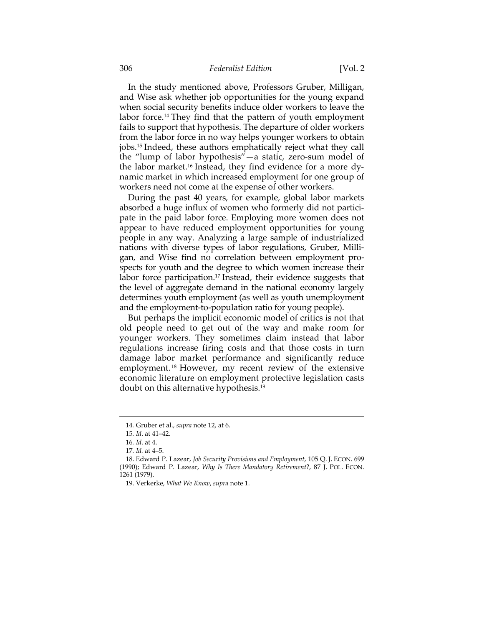#### 306 *Federalist Edition* [Vol. 2

In the study mentioned above, Professors Gruber, Milligan, and Wise ask whether job opportunities for the young expand when social security benefits induce older workers to leave the labor force.<sup>14</sup> They find that the pattern of youth employment fails to support that hypothesis. The departure of older workers from the labor force in no way helps younger workers to obtain jobs.15 Indeed, these authors emphatically reject what they call the "lump of labor hypothesis"—a static, zero-sum model of the labor market.16 Instead, they find evidence for a more dynamic market in which increased employment for one group of workers need not come at the expense of other workers.

During the past 40 years, for example, global labor markets absorbed a huge influx of women who formerly did not participate in the paid labor force. Employing more women does not appear to have reduced employment opportunities for young people in any way. Analyzing a large sample of industrialized nations with diverse types of labor regulations, Gruber, Milligan, and Wise find no correlation between employment prospects for youth and the degree to which women increase their labor force participation.17 Instead, their evidence suggests that the level of aggregate demand in the national economy largely determines youth employment (as well as youth unemployment and the employment-to-population ratio for young people).

But perhaps the implicit economic model of critics is not that old people need to get out of the way and make room for younger workers. They sometimes claim instead that labor regulations increase firing costs and that those costs in turn damage labor market performance and significantly reduce employment. 18 However, my recent review of the extensive economic literature on employment protective legislation casts doubt on this alternative hypothesis.19

<sup>14</sup>*.* Gruber et al., *supra* note 12, at 6.

<sup>15</sup>*. Id*. at 41–42.

<sup>16</sup>*. Id*. at 4.

<sup>17</sup>*. Id.* at 4–5.

 <sup>18.</sup> Edward P. Lazear, *Job Security Provisions and Employment*, 105 Q. J. ECON. 699 (1990); Edward P. Lazear, *Why Is There Mandatory Retirement*?, 87 J. POL. ECON. 1261 (1979).

 <sup>19.</sup> Verkerke, *What We Know*, *supra* note 1.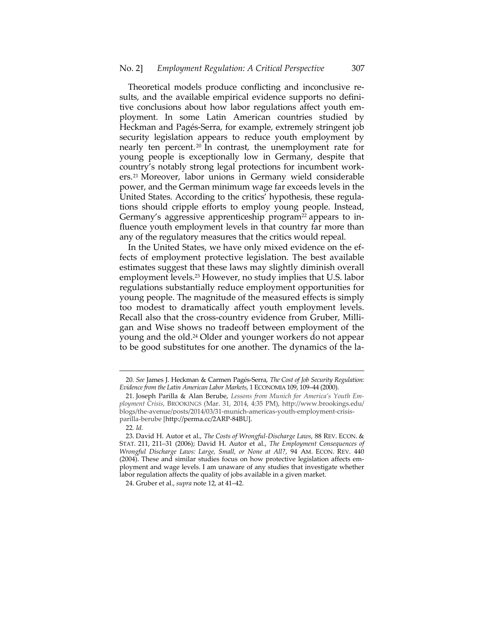Theoretical models produce conflicting and inconclusive results, and the available empirical evidence supports no definitive conclusions about how labor regulations affect youth employment. In some Latin American countries studied by Heckman and Pagés-Serra, for example, extremely stringent job security legislation appears to reduce youth employment by nearly ten percent. 20 In contrast, the unemployment rate for young people is exceptionally low in Germany, despite that country's notably strong legal protections for incumbent workers.21 Moreover, labor unions in Germany wield considerable power, and the German minimum wage far exceeds levels in the United States. According to the critics' hypothesis, these regulations should cripple efforts to employ young people. Instead, Germany's aggressive apprenticeship program<sup>22</sup> appears to influence youth employment levels in that country far more than any of the regulatory measures that the critics would repeal.

In the United States, we have only mixed evidence on the effects of employment protective legislation. The best available estimates suggest that these laws may slightly diminish overall employment levels.23 However, no study implies that U.S. labor regulations substantially reduce employment opportunities for young people. The magnitude of the measured effects is simply too modest to dramatically affect youth employment levels. Recall also that the cross-country evidence from Gruber, Milligan and Wise shows no tradeoff between employment of the young and the old.24 Older and younger workers do not appear to be good substitutes for one another. The dynamics of the la-

<sup>20</sup>*. See* James J. Heckman & Carmen Pagés-Serra, *The Cost of Job Security Regulation: Evidence from the Latin American Labor Markets*, 1 ECONOMIA 109, 109–44 (2000).

 <sup>21.</sup> Joseph Parilla & Alan Berube, *Lessons from Munich for America's Youth Employment Crisis*, BROOKINGS (Mar. 31, 2014, 4:35 PM), http://www.brookings.edu/ blogs/the-avenue/posts/2014/03/31-munich-americas-youth-employment-crisisparilla-berube [http://perma.cc/2ARP-84BU].

<sup>22</sup>*. Id.* 

 <sup>23.</sup> David H. Autor et al., *The Costs of Wrongful-Discharge Laws*, 88 REV. ECON. & STAT. 211, 211–31 (2006); David H. Autor et al., *The Employment Consequences of Wrongful Discharge Laws: Large, Small, or None at All?*, 94 AM. ECON. REV. 440 (2004). These and similar studies focus on how protective legislation affects employment and wage levels. I am unaware of any studies that investigate whether labor regulation affects the quality of jobs available in a given market.

 <sup>24.</sup> Gruber et al., *supra* note 12, at 41–42.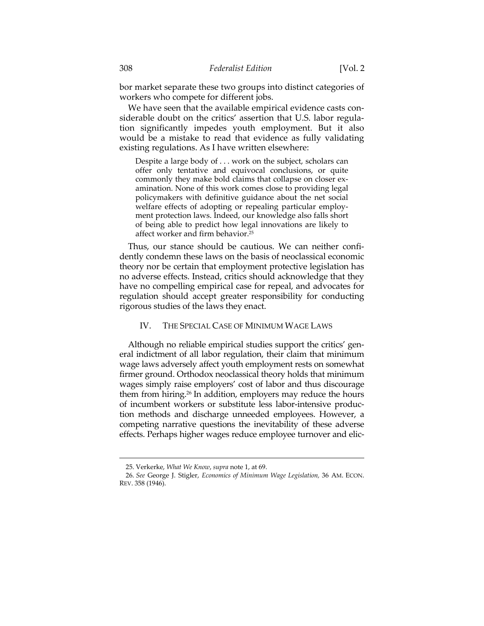bor market separate these two groups into distinct categories of workers who compete for different jobs.

We have seen that the available empirical evidence casts considerable doubt on the critics' assertion that U.S. labor regulation significantly impedes youth employment. But it also would be a mistake to read that evidence as fully validating existing regulations. As I have written elsewhere:

Despite a large body of . . . work on the subject, scholars can offer only tentative and equivocal conclusions, or quite commonly they make bold claims that collapse on closer examination. None of this work comes close to providing legal policymakers with definitive guidance about the net social welfare effects of adopting or repealing particular employment protection laws. Indeed, our knowledge also falls short of being able to predict how legal innovations are likely to affect worker and firm behavior.25

Thus, our stance should be cautious. We can neither confidently condemn these laws on the basis of neoclassical economic theory nor be certain that employment protective legislation has no adverse effects. Instead, critics should acknowledge that they have no compelling empirical case for repeal, and advocates for regulation should accept greater responsibility for conducting rigorous studies of the laws they enact.

#### IV. THE SPECIAL CASE OF MINIMUM WAGE LAWS

Although no reliable empirical studies support the critics' general indictment of all labor regulation, their claim that minimum wage laws adversely affect youth employment rests on somewhat firmer ground. Orthodox neoclassical theory holds that minimum wages simply raise employers' cost of labor and thus discourage them from hiring.26 In addition, employers may reduce the hours of incumbent workers or substitute less labor-intensive production methods and discharge unneeded employees. However, a competing narrative questions the inevitability of these adverse effects. Perhaps higher wages reduce employee turnover and elic-

<sup>25.</sup> Verkerke, *What We Know*, *supra* note 1, at 69.

 <sup>26.</sup> *See* George J. Stigler, *Economics of Minimum Wage Legislation,* 36 AM. ECON. REV. 358 (1946).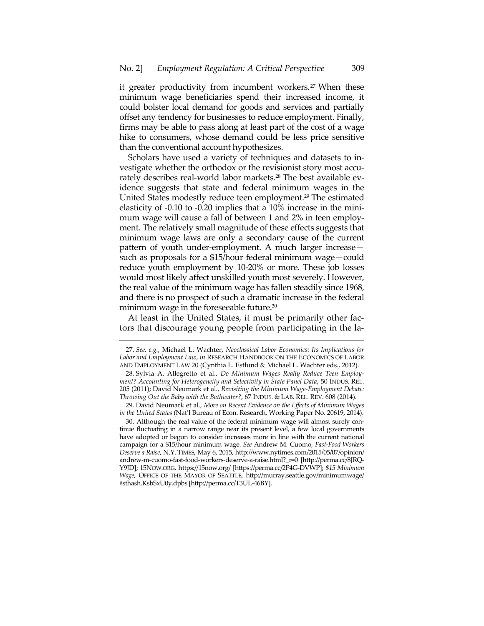it greater productivity from incumbent workers.<sup>27</sup> When these minimum wage beneficiaries spend their increased income, it could bolster local demand for goods and services and partially offset any tendency for businesses to reduce employment. Finally, firms may be able to pass along at least part of the cost of a wage hike to consumers, whose demand could be less price sensitive than the conventional account hypothesizes.

Scholars have used a variety of techniques and datasets to investigate whether the orthodox or the revisionist story most accurately describes real-world labor markets.<sup>28</sup> The best available evidence suggests that state and federal minimum wages in the United States modestly reduce teen employment.<sup>29</sup> The estimated elasticity of -0.10 to -0.20 implies that a 10% increase in the minimum wage will cause a fall of between 1 and 2% in teen employment. The relatively small magnitude of these effects suggests that minimum wage laws are only a secondary cause of the current pattern of youth under-employment. A much larger increase such as proposals for a \$15/hour federal minimum wage—could reduce youth employment by 10-20% or more. These job losses would most likely affect unskilled youth most severely. However, the real value of the minimum wage has fallen steadily since 1968, and there is no prospect of such a dramatic increase in the federal minimum wage in the foreseeable future.<sup>30</sup>

At least in the United States, it must be primarily other factors that discourage young people from participating in the la-

<sup>27.</sup> *See, e.g.*, Michael L. Wachter, *Neoclassical Labor Economics: Its Implications for Labor and Employment Law*, *in* RESEARCH HANDBOOK ON THE ECONOMICS OF LABOR AND EMPLOYMENT LAW 20 (Cynthia L. Estlund & Michael L. Wachter eds., 2012).

 <sup>28.</sup> Sylvia A. Allegretto et al., *Do Minimum Wages Really Reduce Teen Employment? Accounting for Heterogeneity and Selectivity in State Panel Data*, 50 INDUS. REL. 205 (2011); David Neumark et al., *Revisiting the Minimum Wage-Employment Debate: Throwing Out the Baby with the Bathwater?*, 67 INDUS. & LAB. REL. REV. 608 (2014).

 <sup>29.</sup> David Neumark et al., *More on Recent Evidence on the Effects of Minimum Wages in the United States* (Nat'l Bureau of Econ. Research, Working Paper No. 20619, 2014).

 <sup>30.</sup> Although the real value of the federal minimum wage will almost surely continue fluctuating in a narrow range near its present level, a few local governments have adopted or begun to consider increases more in line with the current national campaign for a \$15/hour minimum wage. *See* Andrew M. Cuomo, *Fast-Food Workers Deserve a Raise*, N.Y. TIMES, May 6, 2015, http://www.nytimes.com/2015/05/07/opinion/ andrew-m-cuomo-fast-food-workers-deserve-a-raise.html?\_r=0 [http://perma.cc/8JRQ-Y9JD]; 15NOW.ORG, https://15now.org/ [https://perma.cc/2P4G-DVWP]; *\$15 Minimum Wage*, OFFICE OF THE MAYOR OF SEATTLE, http://murray.seattle.gov/minimumwage/ #sthash.KsbSxU0y.dpbs [http://perma.cc/T3UL-46BY].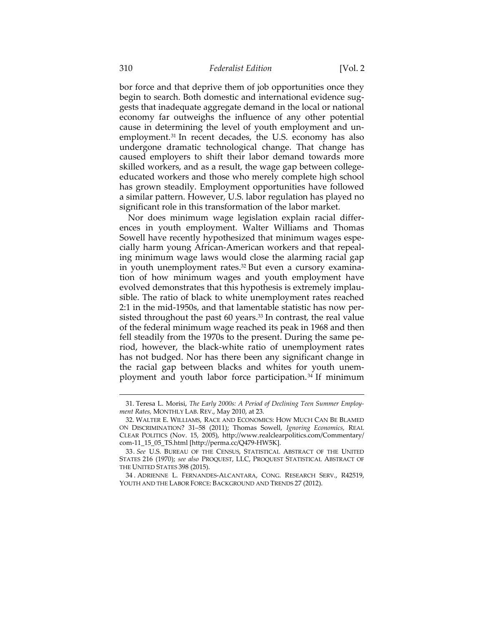bor force and that deprive them of job opportunities once they begin to search. Both domestic and international evidence suggests that inadequate aggregate demand in the local or national economy far outweighs the influence of any other potential cause in determining the level of youth employment and unemployment.31 In recent decades, the U.S. economy has also undergone dramatic technological change. That change has caused employers to shift their labor demand towards more skilled workers, and as a result, the wage gap between collegeeducated workers and those who merely complete high school has grown steadily. Employment opportunities have followed a similar pattern. However, U.S. labor regulation has played no significant role in this transformation of the labor market.

Nor does minimum wage legislation explain racial differences in youth employment. Walter Williams and Thomas Sowell have recently hypothesized that minimum wages especially harm young African-American workers and that repealing minimum wage laws would close the alarming racial gap in youth unemployment rates.<sup>32</sup> But even a cursory examination of how minimum wages and youth employment have evolved demonstrates that this hypothesis is extremely implausible. The ratio of black to white unemployment rates reached 2:1 in the mid-1950s, and that lamentable statistic has now persisted throughout the past 60 years.<sup>33</sup> In contrast, the real value of the federal minimum wage reached its peak in 1968 and then fell steadily from the 1970s to the present. During the same period, however, the black-white ratio of unemployment rates has not budged. Nor has there been any significant change in the racial gap between blacks and whites for youth unemployment and youth labor force participation.<sup>34</sup> If minimum

<sup>31.</sup> Teresa L. Morisi, *The Early 2000s: A Period of Declining Teen Summer Employment Rates,* MONTHLY LAB. REV., May 2010, at 23.

 <sup>32.</sup> WALTER E. WILLIAMS, RACE AND ECONOMICS: HOW MUCH CAN BE BLAMED ON DISCRIMINATION? 31–58 (2011); Thomas Sowell, *Ignoring Economics*, REAL CLEAR POLITICS (Nov. 15, 2005), http://www.realclearpolitics.com/Commentary/ com-11\_15\_05\_TS.html [http://perma.cc/Q479-HW5K].

 <sup>33.</sup> *See* U.S. BUREAU OF THE CENSUS, STATISTICAL ABSTRACT OF THE UNITED STATES 216 (1970); *see also* PROQUEST, LLC, PROQUEST STATISTICAL ABSTRACT OF THE UNITED STATES 398 (2015).

 <sup>34 .</sup> ADRIENNE L. FERNANDES-ALCANTARA, CONG. RESEARCH SERV., R42519, YOUTH AND THE LABOR FORCE: BACKGROUND AND TRENDS 27 (2012).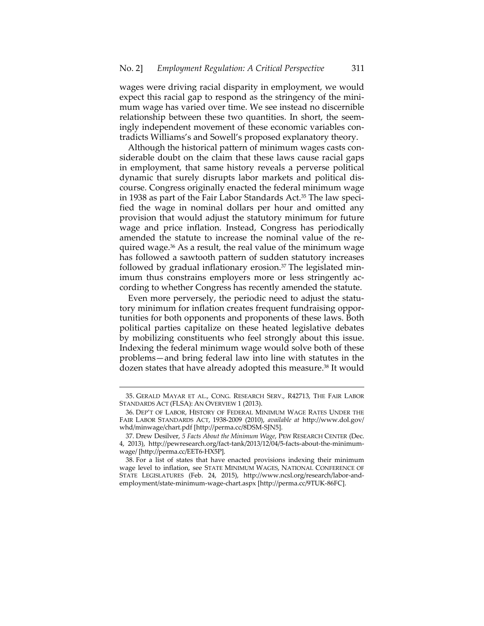wages were driving racial disparity in employment, we would expect this racial gap to respond as the stringency of the minimum wage has varied over time. We see instead no discernible relationship between these two quantities. In short, the seemingly independent movement of these economic variables contradicts Williams's and Sowell's proposed explanatory theory.

Although the historical pattern of minimum wages casts considerable doubt on the claim that these laws cause racial gaps in employment, that same history reveals a perverse political dynamic that surely disrupts labor markets and political discourse. Congress originally enacted the federal minimum wage in 1938 as part of the Fair Labor Standards Act.<sup>35</sup> The law specified the wage in nominal dollars per hour and omitted any provision that would adjust the statutory minimum for future wage and price inflation. Instead, Congress has periodically amended the statute to increase the nominal value of the required wage.36 As a result, the real value of the minimum wage has followed a sawtooth pattern of sudden statutory increases followed by gradual inflationary erosion. $37$  The legislated minimum thus constrains employers more or less stringently according to whether Congress has recently amended the statute.

Even more perversely, the periodic need to adjust the statutory minimum for inflation creates frequent fundraising opportunities for both opponents and proponents of these laws. Both political parties capitalize on these heated legislative debates by mobilizing constituents who feel strongly about this issue. Indexing the federal minimum wage would solve both of these problems—and bring federal law into line with statutes in the dozen states that have already adopted this measure.<sup>38</sup> It would

<sup>35.</sup> GERALD MAYAR ET AL., CONG. RESEARCH SERV., R42713, THE FAIR LABOR STANDARDS ACT (FLSA): AN OVERVIEW 1 (2013).

 <sup>36.</sup> DEP'T OF LABOR, HISTORY OF FEDERAL MINIMUM WAGE RATES UNDER THE FAIR LABOR STANDARDS ACT, 1938-2009 (2010), *available at* http://www.dol.gov/ whd/minwage/chart.pdf [http://perma.cc/8DSM-SJN5].

 <sup>37.</sup> Drew Desilver, *5 Facts About the Minimum Wage*, PEW RESEARCH CENTER (Dec. 4, 2013), http://pewresearch.org/fact-tank/2013/12/04/5-facts-about-the-minimumwage/ [http://perma.cc/EET6-HX5P].

 <sup>38.</sup> For a list of states that have enacted provisions indexing their minimum wage level to inflation, see STATE MINIMUM WAGES, NATIONAL CONFERENCE OF STATE LEGISLATURES (Feb. 24, 2015), http://www.ncsl.org/research/labor-andemployment/state-minimum-wage-chart.aspx [http://perma.cc/9TUK-86FC].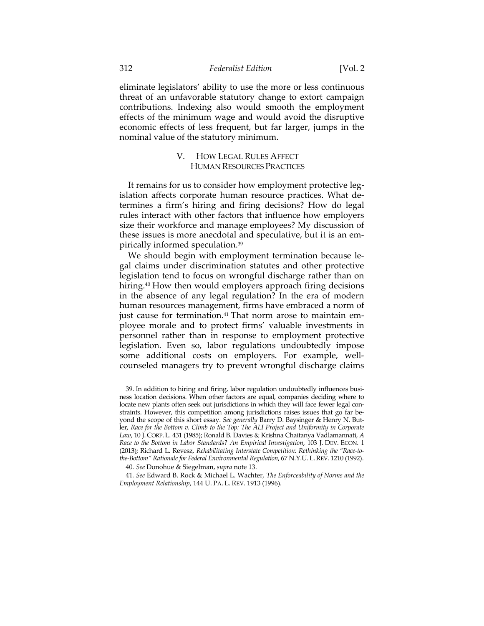eliminate legislators' ability to use the more or less continuous threat of an unfavorable statutory change to extort campaign contributions. Indexing also would smooth the employment effects of the minimum wage and would avoid the disruptive economic effects of less frequent, but far larger, jumps in the nominal value of the statutory minimum.

## V. HOW LEGAL RULES AFFECT HUMAN RESOURCES PRACTICES

It remains for us to consider how employment protective legislation affects corporate human resource practices. What determines a firm's hiring and firing decisions? How do legal rules interact with other factors that influence how employers size their workforce and manage employees? My discussion of these issues is more anecdotal and speculative, but it is an empirically informed speculation.39

We should begin with employment termination because legal claims under discrimination statutes and other protective legislation tend to focus on wrongful discharge rather than on hiring.<sup>40</sup> How then would employers approach firing decisions in the absence of any legal regulation? In the era of modern human resources management, firms have embraced a norm of just cause for termination.<sup>41</sup> That norm arose to maintain employee morale and to protect firms' valuable investments in personnel rather than in response to employment protective legislation. Even so, labor regulations undoubtedly impose some additional costs on employers. For example, wellcounseled managers try to prevent wrongful discharge claims

<sup>39.</sup> In addition to hiring and firing, labor regulation undoubtedly influences business location decisions. When other factors are equal, companies deciding where to locate new plants often seek out jurisdictions in which they will face fewer legal constraints. However, this competition among jurisdictions raises issues that go far beyond the scope of this short essay. *See generally* Barry D. Baysinger & Henry N. Butler, *Race for the Bottom v. Climb to the Top: The ALI Project and Uniformity in Corporate Law*, 10 J. CORP.L. 431 (1985); Ronald B. Davies & Krishna Chaitanya Vadlamannati, *A Race to the Bottom in Labor Standards? An Empirical Investigation*, 103 J. DEV. ECON. 1 (2013); Richard L. Revesz, *Rehabilitating Interstate Competition: Rethinking the "Race-tothe-Bottom" Rationale for Federal Environmental Regulation*, 67 N.Y.U. L.REV. 1210 (1992).

<sup>40</sup>*. See* Donohue & Siegelman, *supra* note 13.

<sup>41</sup>*. See* Edward B. Rock & Michael L. Wachter, *The Enforceability of Norms and the Employment Relationship*, 144 U. PA. L. REV. 1913 (1996).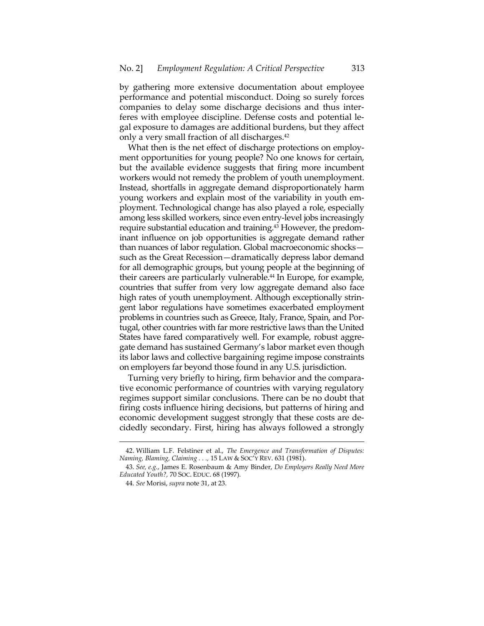by gathering more extensive documentation about employee performance and potential misconduct. Doing so surely forces companies to delay some discharge decisions and thus interferes with employee discipline. Defense costs and potential legal exposure to damages are additional burdens, but they affect only a very small fraction of all discharges.42

What then is the net effect of discharge protections on employment opportunities for young people? No one knows for certain, but the available evidence suggests that firing more incumbent workers would not remedy the problem of youth unemployment. Instead, shortfalls in aggregate demand disproportionately harm young workers and explain most of the variability in youth employment. Technological change has also played a role, especially among less skilled workers, since even entry-level jobs increasingly require substantial education and training.43 However, the predominant influence on job opportunities is aggregate demand rather than nuances of labor regulation. Global macroeconomic shocks such as the Great Recession—dramatically depress labor demand for all demographic groups, but young people at the beginning of their careers are particularly vulnerable.<sup>44</sup> In Europe, for example, countries that suffer from very low aggregate demand also face high rates of youth unemployment. Although exceptionally stringent labor regulations have sometimes exacerbated employment problems in countries such as Greece, Italy, France, Spain, and Portugal, other countries with far more restrictive laws than the United States have fared comparatively well. For example, robust aggregate demand has sustained Germany's labor market even though its labor laws and collective bargaining regime impose constraints on employers far beyond those found in any U.S. jurisdiction.

Turning very briefly to hiring, firm behavior and the comparative economic performance of countries with varying regulatory regimes support similar conclusions. There can be no doubt that firing costs influence hiring decisions, but patterns of hiring and economic development suggest strongly that these costs are decidedly secondary. First, hiring has always followed a strongly

<sup>42.</sup> William L.F. Felstiner et al., *The Emergence and Transformation of Disputes: Naming, Blaming, Claiming . . .,* 15 LAW & SOC'Y REV. 631 (1981).

 <sup>43.</sup> *See, e.g.*, James E. Rosenbaum & Amy Binder, *Do Employers Really Need More Educated Youth?,* 70 SOC. EDUC. 68 (1997).

 <sup>44.</sup> *See* Morisi, *supra* note 31, at 23.